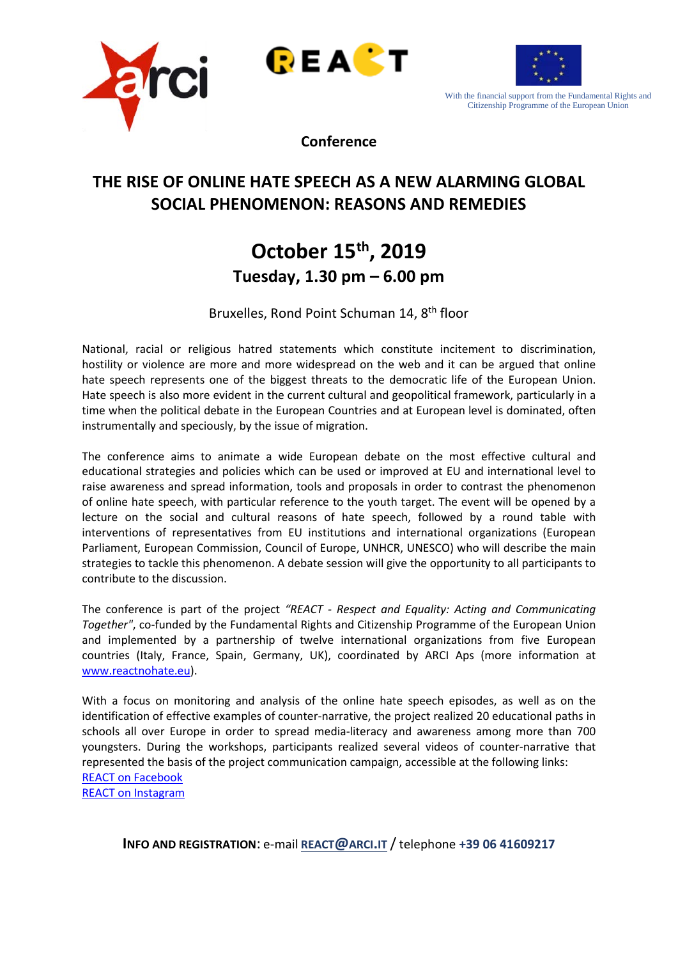





With the financial support from the Fundamental Rights and Citizenship Programme of the European Union

**Conference**

## **THE RISE OF ONLINE HATE SPEECH AS A NEW ALARMING GLOBAL SOCIAL PHENOMENON: REASONS AND REMEDIES**

# **October 15th, 2019 Tuesday, 1.30 pm – 6.00 pm**

Bruxelles, Rond Point Schuman 14, 8<sup>th</sup> floor

National, racial or religious hatred statements which constitute incitement to discrimination, hostility or violence are more and more widespread on the web and it can be argued that online hate speech represents one of the biggest threats to the democratic life of the European Union. Hate speech is also more evident in the current cultural and geopolitical framework, particularly in a time when the political debate in the European Countries and at European level is dominated, often instrumentally and speciously, by the issue of migration.

The conference aims to animate a wide European debate on the most effective cultural and educational strategies and policies which can be used or improved at EU and international level to raise awareness and spread information, tools and proposals in order to contrast the phenomenon of online hate speech, with particular reference to the youth target. The event will be opened by a lecture on the social and cultural reasons of hate speech, followed by a round table with interventions of representatives from EU institutions and international organizations (European Parliament, European Commission, Council of Europe, UNHCR, UNESCO) who will describe the main strategies to tackle this phenomenon. A debate session will give the opportunity to all participants to contribute to the discussion.

The conference is part of the project *"REACT - Respect and Equality: Acting and Communicating Together"*, co-funded by the Fundamental Rights and Citizenship Programme of the European Union and implemented by a partnership of twelve international organizations from five European countries (Italy, France, Spain, Germany, UK), coordinated by ARCI Aps (more information at [www.reactnohate.eu\)](http://www.reactnohate.eu/).

With a focus on monitoring and analysis of the online hate speech episodes, as well as on the identification of effective examples of counter-narrative, the project realized 20 educational paths in schools all over Europe in order to spread media-literacy and awareness among more than 700 youngsters. During the workshops, participants realized several videos of counter-narrative that represented the basis of the project communication campaign, accessible at the following links: [REACT on Facebook](https://www.facebook.com/ReactNoHate/?modal=admin_todo_tour) [REACT on Instagram](https://www.instagram.com/reactnohate/)

**INFO AND REGISTRATION: e-mail [REACT@ARCI.IT](mailto:react@arci.it) / telephone +39 06 41609217**